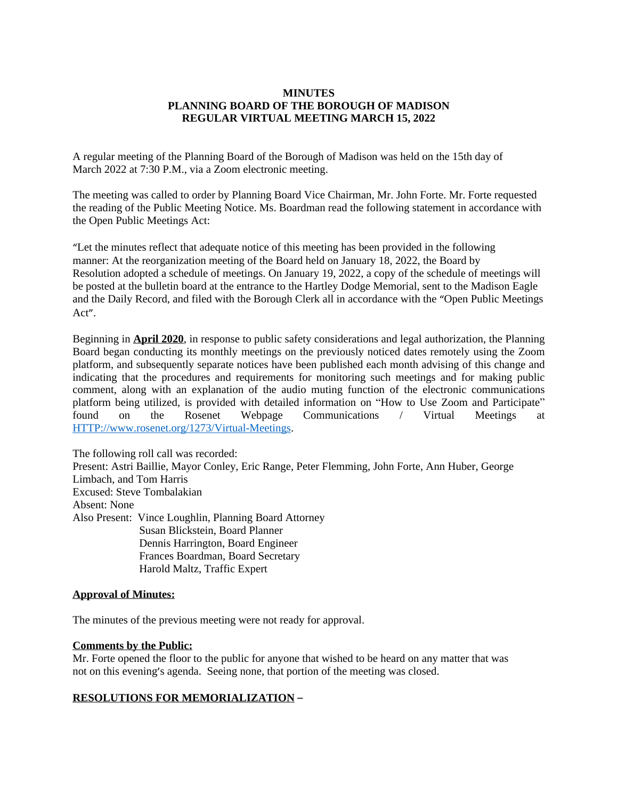### **MINUTES PLANNING BOARD OF THE BOROUGH OF MADISON REGULAR VIRTUAL MEETING MARCH 15, 2022**

A regular meeting of the Planning Board of the Borough of Madison was held on the 15th day of March 2022 at 7:30 P.M., via a Zoom electronic meeting.

The meeting was called to order by Planning Board Vice Chairman, Mr. John Forte. Mr. Forte requested the reading of the Public Meeting Notice. Ms. Boardman read the following statement in accordance with the Open Public Meetings Act:

"Let the minutes reflect that adequate notice of this meeting has been provided in the following manner: At the reorganization meeting of the Board held on January 18, 2022, the Board by Resolution adopted a schedule of meetings. On January 19, 2022, a copy of the schedule of meetings will be posted at the bulletin board at the entrance to the Hartley Dodge Memorial, sent to the Madison Eagle and the Daily Record, and filed with the Borough Clerk all in accordance with the "Open Public Meetings Act".

Beginning in **April 2020**, in response to public safety considerations and legal authorization, the Planning Board began conducting its monthly meetings on the previously noticed dates remotely using the Zoom platform, and subsequently separate notices have been published each month advising of this change and indicating that the procedures and requirements for monitoring such meetings and for making public comment, along with an explanation of the audio muting function of the electronic communications platform being utilized, is provided with detailed information on "How to Use Zoom and Participate" found on the Rosenet Webpage Communications / Virtual Meetings at <HTTP://www.rosenet.org/1273/Virtual-Meetings>.

The following roll call was recorded: Present: Astri Baillie, Mayor Conley, Eric Range, Peter Flemming, John Forte, Ann Huber, George Limbach, and Tom Harris Excused: Steve Tombalakian Absent: None Also Present: Vince Loughlin, Planning Board Attorney Susan Blickstein, Board Planner Dennis Harrington, Board Engineer Frances Boardman, Board Secretary Harold Maltz, Traffic Expert

## **Approval of Minutes:**

The minutes of the previous meeting were not ready for approval.

#### **Comments by the Public:**

Mr. Forte opened the floor to the public for anyone that wished to be heard on any matter that was not on this evening's agenda. Seeing none, that portion of the meeting was closed.

## **RESOLUTIONS FOR MEMORIALIZATION** –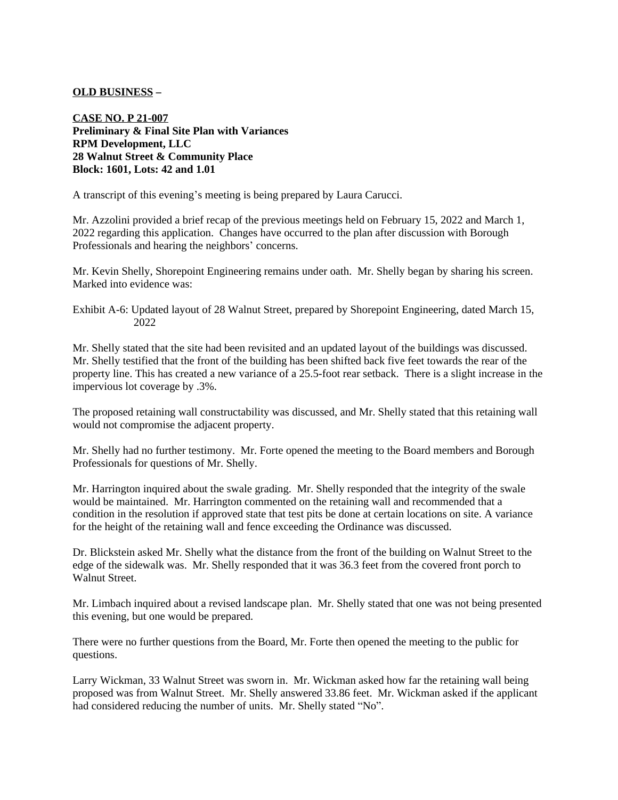## **OLD BUSINESS** –

**CASE NO. P 21-007 Preliminary & Final Site Plan with Variances RPM Development, LLC 28 Walnut Street & Community Place Block: 1601, Lots: 42 and 1.01**

A transcript of this evening's meeting is being prepared by Laura Carucci.

Mr. Azzolini provided a brief recap of the previous meetings held on February 15, 2022 and March 1, 2022 regarding this application. Changes have occurred to the plan after discussion with Borough Professionals and hearing the neighbors' concerns.

Mr. Kevin Shelly, Shorepoint Engineering remains under oath. Mr. Shelly began by sharing his screen. Marked into evidence was:

Exhibit A-6: Updated layout of 28 Walnut Street, prepared by Shorepoint Engineering, dated March 15, 2022

Mr. Shelly stated that the site had been revisited and an updated layout of the buildings was discussed. Mr. Shelly testified that the front of the building has been shifted back five feet towards the rear of the property line. This has created a new variance of a 25.5-foot rear setback. There is a slight increase in the impervious lot coverage by .3%.

The proposed retaining wall constructability was discussed, and Mr. Shelly stated that this retaining wall would not compromise the adjacent property.

Mr. Shelly had no further testimony. Mr. Forte opened the meeting to the Board members and Borough Professionals for questions of Mr. Shelly.

Mr. Harrington inquired about the swale grading. Mr. Shelly responded that the integrity of the swale would be maintained. Mr. Harrington commented on the retaining wall and recommended that a condition in the resolution if approved state that test pits be done at certain locations on site. A variance for the height of the retaining wall and fence exceeding the Ordinance was discussed.

Dr. Blickstein asked Mr. Shelly what the distance from the front of the building on Walnut Street to the edge of the sidewalk was. Mr. Shelly responded that it was 36.3 feet from the covered front porch to Walnut Street.

Mr. Limbach inquired about a revised landscape plan. Mr. Shelly stated that one was not being presented this evening, but one would be prepared.

There were no further questions from the Board, Mr. Forte then opened the meeting to the public for questions.

Larry Wickman, 33 Walnut Street was sworn in. Mr. Wickman asked how far the retaining wall being proposed was from Walnut Street. Mr. Shelly answered 33.86 feet. Mr. Wickman asked if the applicant had considered reducing the number of units. Mr. Shelly stated "No".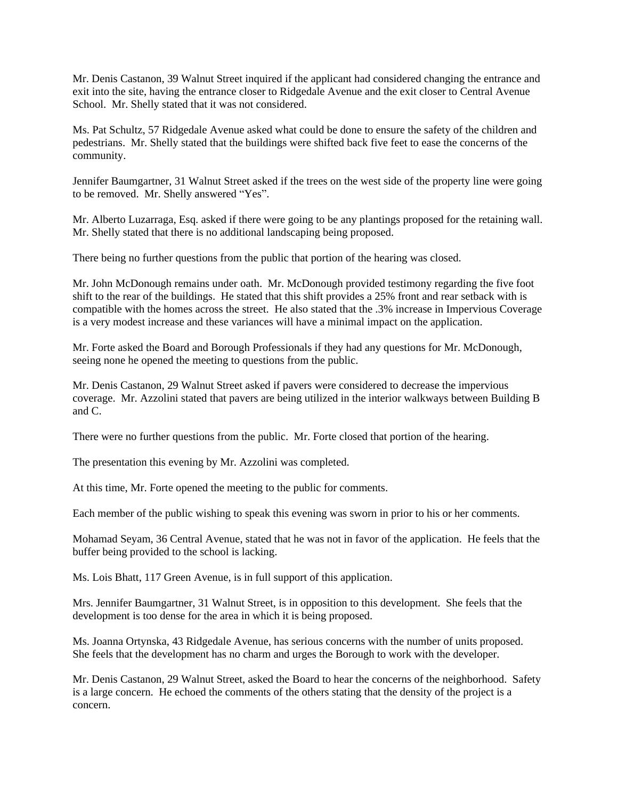Mr. Denis Castanon, 39 Walnut Street inquired if the applicant had considered changing the entrance and exit into the site, having the entrance closer to Ridgedale Avenue and the exit closer to Central Avenue School. Mr. Shelly stated that it was not considered.

Ms. Pat Schultz, 57 Ridgedale Avenue asked what could be done to ensure the safety of the children and pedestrians. Mr. Shelly stated that the buildings were shifted back five feet to ease the concerns of the community.

Jennifer Baumgartner, 31 Walnut Street asked if the trees on the west side of the property line were going to be removed. Mr. Shelly answered "Yes".

Mr. Alberto Luzarraga, Esq. asked if there were going to be any plantings proposed for the retaining wall. Mr. Shelly stated that there is no additional landscaping being proposed.

There being no further questions from the public that portion of the hearing was closed.

Mr. John McDonough remains under oath. Mr. McDonough provided testimony regarding the five foot shift to the rear of the buildings. He stated that this shift provides a 25% front and rear setback with is compatible with the homes across the street. He also stated that the .3% increase in Impervious Coverage is a very modest increase and these variances will have a minimal impact on the application.

Mr. Forte asked the Board and Borough Professionals if they had any questions for Mr. McDonough, seeing none he opened the meeting to questions from the public.

Mr. Denis Castanon, 29 Walnut Street asked if pavers were considered to decrease the impervious coverage. Mr. Azzolini stated that pavers are being utilized in the interior walkways between Building B and C.

There were no further questions from the public. Mr. Forte closed that portion of the hearing.

The presentation this evening by Mr. Azzolini was completed.

At this time, Mr. Forte opened the meeting to the public for comments.

Each member of the public wishing to speak this evening was sworn in prior to his or her comments.

Mohamad Seyam, 36 Central Avenue, stated that he was not in favor of the application. He feels that the buffer being provided to the school is lacking.

Ms. Lois Bhatt, 117 Green Avenue, is in full support of this application.

Mrs. Jennifer Baumgartner, 31 Walnut Street, is in opposition to this development. She feels that the development is too dense for the area in which it is being proposed.

Ms. Joanna Ortynska, 43 Ridgedale Avenue, has serious concerns with the number of units proposed. She feels that the development has no charm and urges the Borough to work with the developer.

Mr. Denis Castanon, 29 Walnut Street, asked the Board to hear the concerns of the neighborhood. Safety is a large concern. He echoed the comments of the others stating that the density of the project is a concern.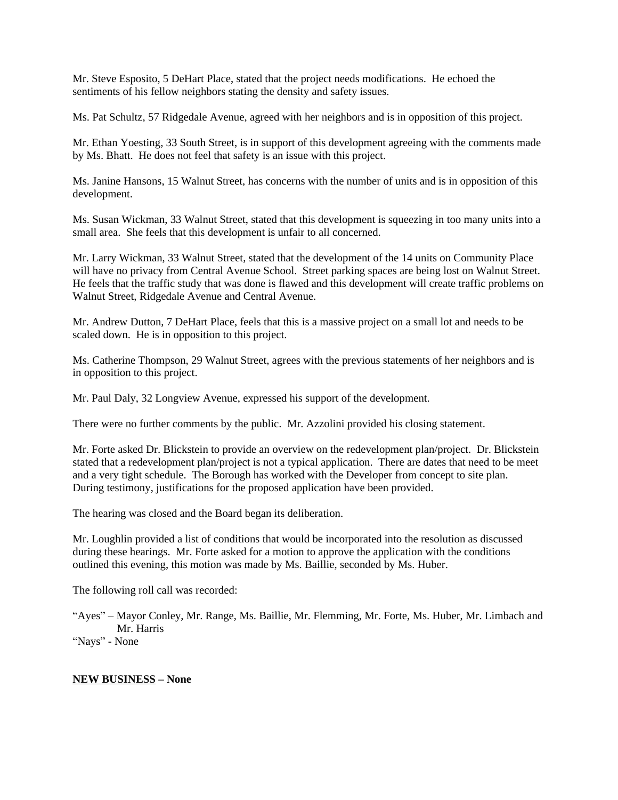Mr. Steve Esposito, 5 DeHart Place, stated that the project needs modifications. He echoed the sentiments of his fellow neighbors stating the density and safety issues.

Ms. Pat Schultz, 57 Ridgedale Avenue, agreed with her neighbors and is in opposition of this project.

Mr. Ethan Yoesting, 33 South Street, is in support of this development agreeing with the comments made by Ms. Bhatt. He does not feel that safety is an issue with this project.

Ms. Janine Hansons, 15 Walnut Street, has concerns with the number of units and is in opposition of this development.

Ms. Susan Wickman, 33 Walnut Street, stated that this development is squeezing in too many units into a small area. She feels that this development is unfair to all concerned.

Mr. Larry Wickman, 33 Walnut Street, stated that the development of the 14 units on Community Place will have no privacy from Central Avenue School. Street parking spaces are being lost on Walnut Street. He feels that the traffic study that was done is flawed and this development will create traffic problems on Walnut Street, Ridgedale Avenue and Central Avenue.

Mr. Andrew Dutton, 7 DeHart Place, feels that this is a massive project on a small lot and needs to be scaled down. He is in opposition to this project.

Ms. Catherine Thompson, 29 Walnut Street, agrees with the previous statements of her neighbors and is in opposition to this project.

Mr. Paul Daly, 32 Longview Avenue, expressed his support of the development.

There were no further comments by the public. Mr. Azzolini provided his closing statement.

Mr. Forte asked Dr. Blickstein to provide an overview on the redevelopment plan/project. Dr. Blickstein stated that a redevelopment plan/project is not a typical application. There are dates that need to be meet and a very tight schedule. The Borough has worked with the Developer from concept to site plan. During testimony, justifications for the proposed application have been provided.

The hearing was closed and the Board began its deliberation.

Mr. Loughlin provided a list of conditions that would be incorporated into the resolution as discussed during these hearings. Mr. Forte asked for a motion to approve the application with the conditions outlined this evening, this motion was made by Ms. Baillie, seconded by Ms. Huber.

The following roll call was recorded:

"Ayes" – Mayor Conley, Mr. Range, Ms. Baillie, Mr. Flemming, Mr. Forte, Ms. Huber, Mr. Limbach and Mr. Harris "Nays" - None

## **NEW BUSINESS – None**